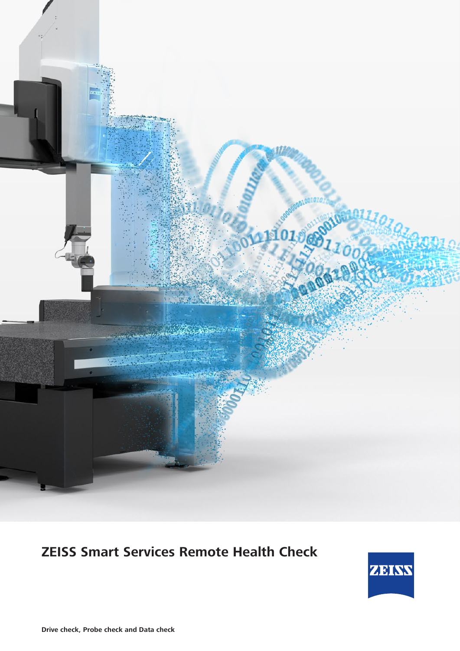

# **ZEISS Smart Services Remote Health Check**

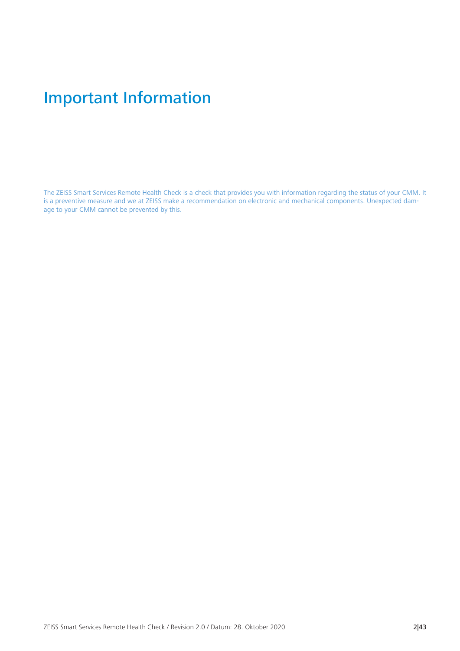# Important Information

The ZEISS Smart Services Remote Health Check is a check that provides you with information regarding the status of your CMM. It is a preventive measure and we at ZEISS make a recommendation on electronic and mechanical components. Unexpected damage to your CMM cannot be prevented by this.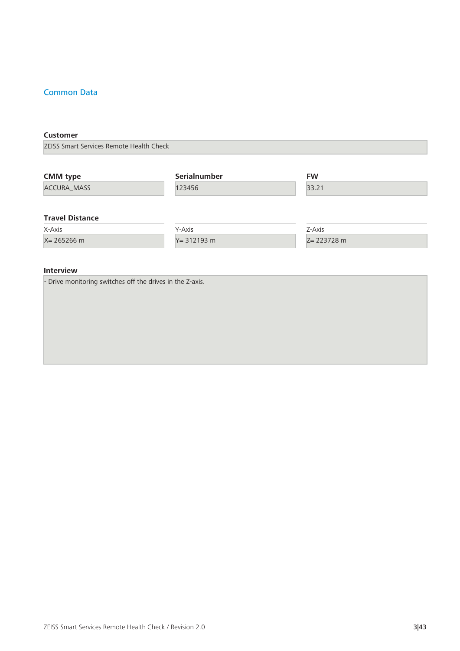### Common Data

#### **Customer**

ZEISS Smart Services Remote Health Check

| <b>CMM</b> type        | Serialnumber   | <b>FW</b>      |
|------------------------|----------------|----------------|
| ACCURA_MASS            | 123456         | 33.21          |
|                        |                |                |
| <b>Travel Distance</b> |                |                |
| X-Axis                 | Y-Axis         | Z-Axis         |
| $X = 265266$ m         | $Y = 312193$ m | $Z = 223728$ m |
|                        |                |                |
| <b>Interview</b>       |                |                |

- Drive monitoring switches off the drives in the Z-axis.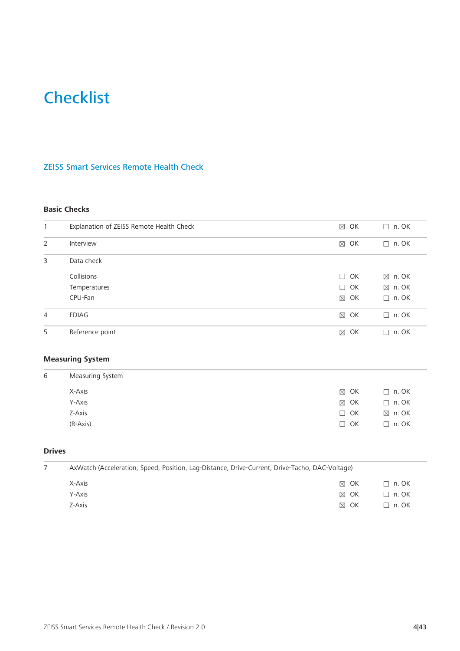# **Checklist**

### ZEISS Smart Services Remote Health Check

### **Basic Checks**

| $\mathbf{1}$   | Explanation of ZEISS Remote Health Check | $\boxtimes$ OK    | $\Box$ n. OK         |
|----------------|------------------------------------------|-------------------|----------------------|
| $\overline{2}$ | Interview                                | $\boxtimes$ OK    | $\Box$ n. OK         |
| 3              | Data check                               |                   |                      |
|                | Collisions                               | OK<br>П           | n. OK<br>$\boxtimes$ |
|                | Temperatures                             | OK<br>$\Box$      | n. OK<br>$\boxtimes$ |
|                | CPU-Fan                                  | OK<br>$\boxtimes$ | n. OK<br>$\Box$      |
| $\overline{4}$ | <b>EDIAG</b>                             | OK<br>$\boxtimes$ | n. OK<br>$\Box$      |
| 5              | Reference point                          | OK<br>$\boxtimes$ | n. OK<br>П.          |
|                | <b>Measuring System</b>                  |                   |                      |
| 6              | Measuring System                         |                   |                      |
|                | X-Axis                                   | OK<br>$\boxtimes$ | n. OK<br>$\Box$      |
|                | Y-Axis                                   | OK<br>$\boxtimes$ | n. OK<br>$\Box$      |
|                | Z-Axis                                   | OK<br>$\Box$      | n. OK<br>⊠           |
|                | $(R-Axis)$                               | OK<br>$\Box$      | $\Box$ n. OK         |

#### **Drives**

| AxWatch (Acceleration, Speed, Position, Lag-Distance, Drive-Current, Drive-Tacho, DAC-Voltage) |                |              |
|------------------------------------------------------------------------------------------------|----------------|--------------|
| X-Axis                                                                                         | $\boxtimes$ OK | $\Box$ n. OK |
| Y-Axis                                                                                         | $\boxtimes$ OK | $\Box$ n. OK |
| Z-Axis                                                                                         | $\boxtimes$ OK | $\Box$ n. OK |
|                                                                                                |                |              |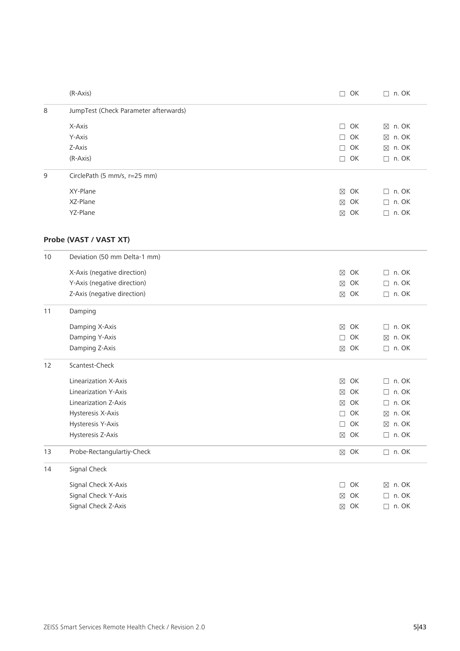|                | $(R-Axis)$                            | OK<br>$\Box$      | $\Box$ n. OK      |
|----------------|---------------------------------------|-------------------|-------------------|
| 8              | JumpTest (Check Parameter afterwards) |                   |                   |
|                | X-Axis                                | OK<br>П.          | n. OK<br>⊠        |
|                | Y-Axis                                | OK<br>$\Box$      | $\boxtimes$ n. OK |
|                | Z-Axis                                | OK<br>П.          | $\boxtimes$ n. OK |
|                | (R-Axis)                              | OK<br>$\Box$      | $\Box$ n. OK      |
| $\overline{9}$ | CirclePath (5 mm/s, r=25 mm)          |                   |                   |
|                | XY-Plane                              | OK<br>$\boxtimes$ | n. OK<br>П.       |
|                | XZ-Plane                              | OK<br>⊠           | $\Box$ n. OK      |
|                | YZ-Plane                              | $\boxtimes$ OK    | $\Box$ n. OK      |
|                | Probe (VAST / VAST XT)                |                   |                   |
| 10             | Deviation (50 mm Delta-1 mm)          |                   |                   |
|                | X-Axis (negative direction)           | OK<br>⊠           | $\Box$ n. OK      |
|                | Y-Axis (negative direction)           | OK<br>$\boxtimes$ | $\Box$ n. OK      |
|                | Z-Axis (negative direction)           | OK<br>$\boxtimes$ | $\Box$ n. OK      |
| 11             | Damping                               |                   |                   |
|                | Damping X-Axis                        | OK<br>$\boxtimes$ | $\Box$ n. OK      |
|                | Damping Y-Axis                        | OK<br>□           | $\boxtimes$ n. OK |
|                | Damping Z-Axis                        | OK<br>$\boxtimes$ | $\Box$ n. OK      |
| 12             | Scantest-Check                        |                   |                   |
|                | Linearization X-Axis                  | OK<br>$\boxtimes$ | $\Box$ n. OK      |
|                | Linearization Y-Axis                  | OK<br>⊠           | $\Box$ n. OK      |
|                | Linearization Z-Axis                  | OK<br>⊠           | $\Box$ n. OK      |
|                | Hysteresis X-Axis                     | OK<br>ш           | $\boxtimes$ n. OK |
|                | Hysteresis Y-Axis                     | OK<br>□           | $\boxtimes$ n. OK |
|                | Hysteresis Z-Axis                     | $\boxtimes$ OK    | $\Box$ n. OK      |
| 13             | Probe-Rectangulartiy-Check            | $\boxtimes$ OK    | $\Box$ n. OK      |
| 14             | Signal Check                          |                   |                   |
|                | Signal Check X-Axis                   | OK<br>$\Box$      | $\boxtimes$ n. OK |
|                | Signal Check Y-Axis                   | OK<br>$\boxtimes$ | $\Box$ n. OK      |
|                | Signal Check Z-Axis                   | OK<br>$\boxtimes$ | $\Box$ n. OK      |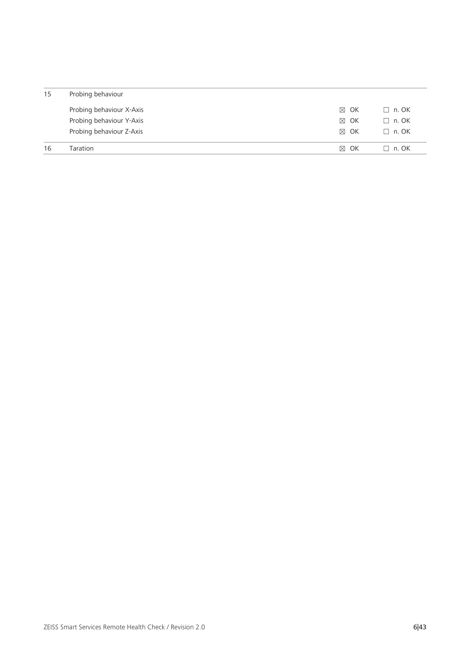| 16 | Taration                 | OK<br>$\boxtimes$ | n. OK        |
|----|--------------------------|-------------------|--------------|
|    | Probing behaviour Z-Axis | OK<br>$\boxtimes$ | n. OK        |
|    | Probing behaviour Y-Axis | OK<br>$\boxtimes$ | n. OK        |
|    | Probing behaviour X-Axis | $\boxtimes$ OK    | $\Box$ n. OK |
| 15 | Probing behaviour        |                   |              |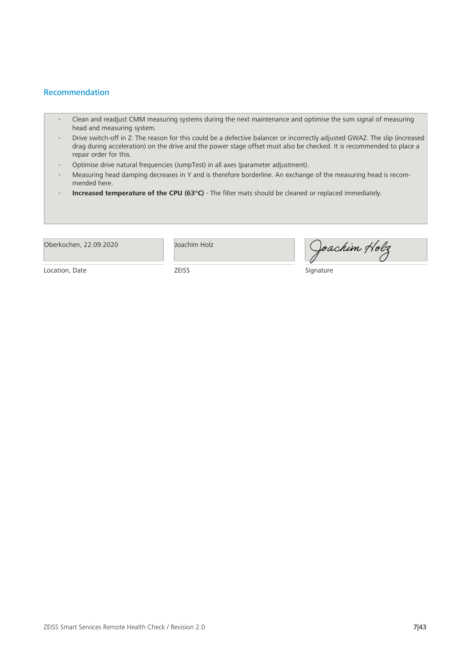### Recommendation

- Clean and readjust CMM measuring systems during the next maintenance and optimise the sum signal of measuring head and measuring system.
- Drive switch-off in Z: The reason for this could be a defective balancer or incorrectly adjusted GWAZ. The slip (increased drag during acceleration) on the drive and the power stage offset must also be checked. It is recommended to place a repair order for this.
- Optimise drive natural frequencies (JumpTest) in all axes (parameter adjustment).
- Measuring head damping decreases in Y and is therefore borderline. An exchange of the measuring head is recommended here.
- **Increased temperature of the CPU (63°C)** The filter mats should be cleaned or replaced immediately.

Oberkochen, 22.09.2020 Joachim Holz

Joachim Holz

Location, Date **Signature ZEISS Signature Signature**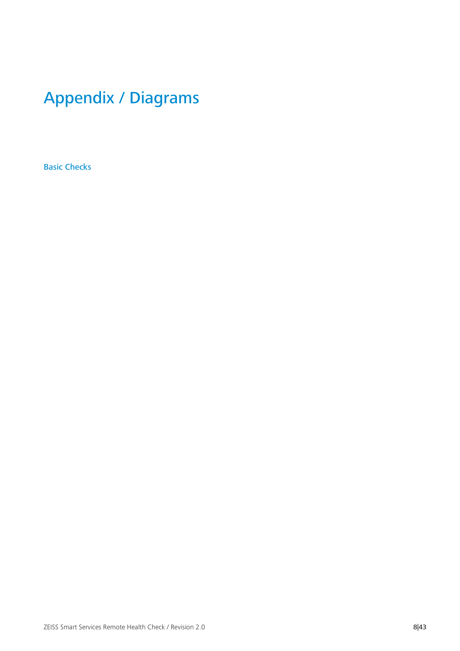# Appendix / Diagrams

Basic Checks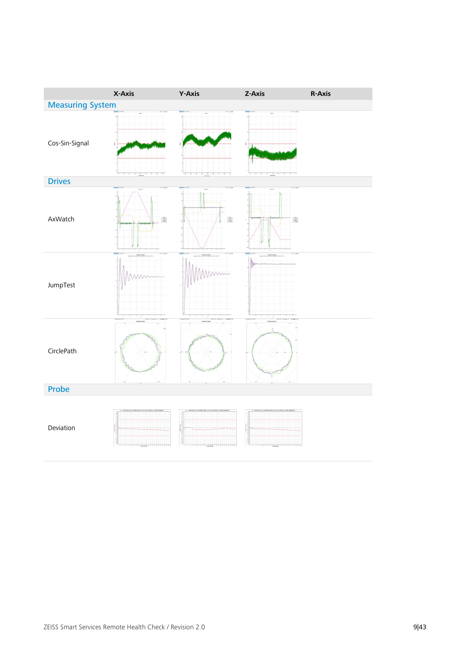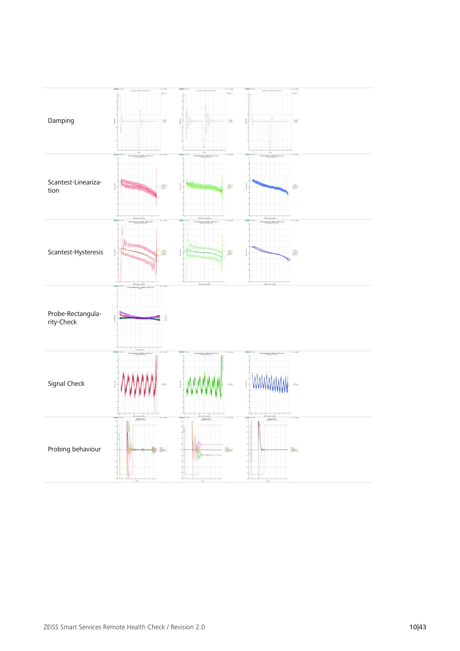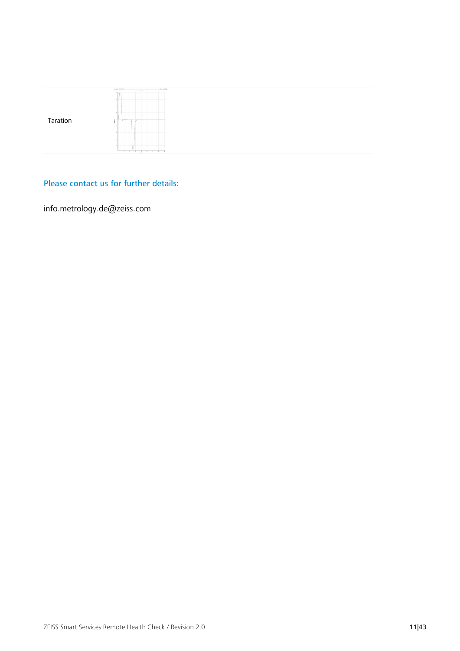|          | Januar & Miller    | <b>SECRET</b> |
|----------|--------------------|---------------|
|          | <b>Leyfon Tool</b> |               |
|          |                    |               |
|          |                    |               |
|          |                    |               |
|          |                    |               |
|          |                    |               |
|          |                    |               |
|          |                    |               |
|          |                    |               |
|          |                    |               |
|          |                    |               |
|          | <b>Systems</b>     |               |
| Taration |                    |               |
|          |                    |               |
|          |                    |               |
|          |                    |               |
|          |                    |               |
|          |                    |               |
|          |                    |               |
|          |                    |               |
|          |                    |               |
|          |                    |               |
|          |                    |               |
|          |                    |               |
|          |                    |               |
|          | <b>Security</b>    |               |
|          |                    |               |

## Please contact us for further details:

info.metrology.de@zeiss.com